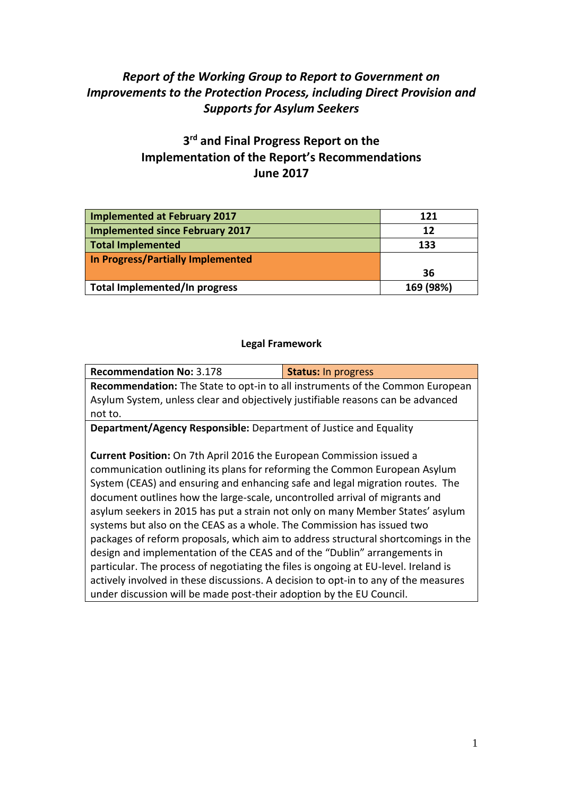# *Report of the Working Group to Report to Government on Improvements to the Protection Process, including Direct Provision and Supports for Asylum Seekers*

# **3 rd and Final Progress Report on the Implementation of the Report's Recommendations June 2017**

| Implemented at February 2017      | 121       |
|-----------------------------------|-----------|
| Implemented since February 2017   | 12        |
| Total Implemented                 | 133       |
| In Progress/Partially Implemented |           |
|                                   | 36        |
| Total Implemented/In progress     | 169 (98%) |

#### **Legal Framework**

| <b>Recommendation No: 3.178</b>                                                     | <b>Status: In progress</b> |
|-------------------------------------------------------------------------------------|----------------------------|
| Recommendation: The State to opt-in to all instruments of the Common European       |                            |
| Asylum System, unless clear and objectively justifiable reasons can be advanced     |                            |
| not to.                                                                             |                            |
| <b>Department/Agency Responsible:</b> Department of Justice and Equality            |                            |
|                                                                                     |                            |
| <b>Current Position:</b> On 7th April 2016 the European Commission issued a         |                            |
| communication outlining its plans for reforming the Common European Asylum          |                            |
| System (CEAS) and ensuring and enhancing safe and legal migration routes. The       |                            |
| document outlines how the large-scale, uncontrolled arrival of migrants and         |                            |
| asylum seekers in 2015 has put a strain not only on many Member States' asylum      |                            |
| systems but also on the CEAS as a whole. The Commission has issued two              |                            |
| packages of reform proposals, which aim to address structural shortcomings in the   |                            |
| design and implementation of the CEAS and of the "Dublin" arrangements in           |                            |
| particular. The process of negotiating the files is ongoing at EU-level. Ireland is |                            |
| actively involved in these discussions. A decision to opt-in to any of the measures |                            |
| under discussion will be made post-their adoption by the EU Council.                |                            |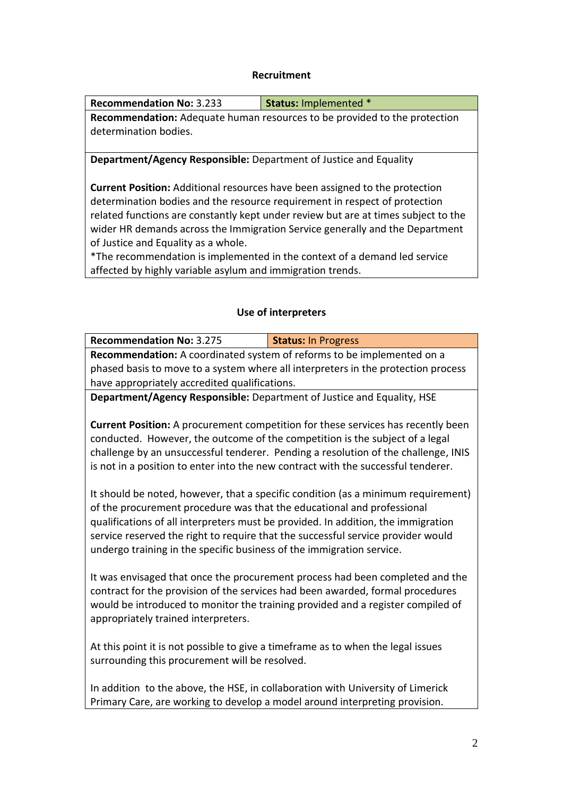#### **Recruitment**

| <b>Recommendation No: 3.233</b>                                                    | <b>Status: Implemented *</b> |
|------------------------------------------------------------------------------------|------------------------------|
| <b>Recommendation:</b> Adequate human resources to be provided to the protection   |                              |
| determination bodies.                                                              |                              |
|                                                                                    |                              |
| Department/Agency Responsible: Department of Justice and Equality                  |                              |
|                                                                                    |                              |
| <b>Current Position:</b> Additional resources have been assigned to the protection |                              |
| determination bodies and the resource requirement in respect of protection         |                              |
| related functions are constantly kept under review but are at times subject to the |                              |
| wider HR demands across the Immigration Service generally and the Department       |                              |

of Justice and Equality as a whole.

\*The recommendation is implemented in the context of a demand led service affected by highly variable asylum and immigration trends.

#### **Use of interpreters**

| <b>Recommendation No: 3.275</b>                                                   | <b>Status: In Progress</b> |
|-----------------------------------------------------------------------------------|----------------------------|
| Recommendation: A coordinated system of reforms to be implemented on a            |                            |
| phased basis to move to a system where all interpreters in the protection process |                            |
| have appropriately accredited qualifications.                                     |                            |
| Department/Agency Responsible: Department of Justice and Equality, HSE            |                            |

**Current Position:** A procurement competition for these services has recently been conducted. However, the outcome of the competition is the subject of a legal challenge by an unsuccessful tenderer. Pending a resolution of the challenge, INIS is not in a position to enter into the new contract with the successful tenderer.

It should be noted, however, that a specific condition (as a minimum requirement) of the procurement procedure was that the educational and professional qualifications of all interpreters must be provided. In addition, the immigration service reserved the right to require that the successful service provider would undergo training in the specific business of the immigration service.

It was envisaged that once the procurement process had been completed and the contract for the provision of the services had been awarded, formal procedures would be introduced to monitor the training provided and a register compiled of appropriately trained interpreters.

At this point it is not possible to give a timeframe as to when the legal issues surrounding this procurement will be resolved.

In addition to the above, the HSE, in collaboration with University of Limerick Primary Care, are working to develop a model around interpreting provision.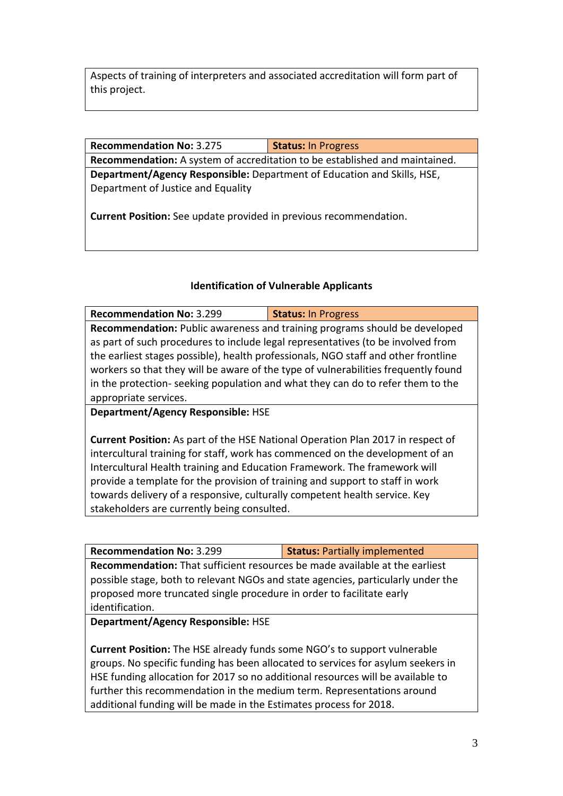Aspects of training of interpreters and associated accreditation will form part of this project.

**Recommendation No:** 3.275 **Status:** In Progress

**Recommendation:** A system of accreditation to be established and maintained. **Department/Agency Responsible:** Department of Education and Skills, HSE, Department of Justice and Equality

**Current Position:** See update provided in previous recommendation.

## **Identification of Vulnerable Applicants**

**Recommendation No:** 3.299 **Status:** In Progress **Recommendation:** Public awareness and training programs should be developed as part of such procedures to include legal representatives (to be involved from the earliest stages possible), health professionals, NGO staff and other frontline workers so that they will be aware of the type of vulnerabilities frequently found in the protection- seeking population and what they can do to refer them to the appropriate services.

**Department/Agency Responsible:** HSE

**Current Position:** As part of the HSE National Operation Plan 2017 in respect of intercultural training for staff, work has commenced on the development of an Intercultural Health training and Education Framework. The framework will provide a template for the provision of training and support to staff in work towards delivery of a responsive, culturally competent health service. Key stakeholders are currently being consulted.

**Recommendation No:** 3.299 **Status:** Partially implemented

**Recommendation:** That sufficient resources be made available at the earliest possible stage, both to relevant NGOs and state agencies, particularly under the proposed more truncated single procedure in order to facilitate early identification.

**Department/Agency Responsible:** HSE

**Current Position:** The HSE already funds some NGO's to support vulnerable groups. No specific funding has been allocated to services for asylum seekers in HSE funding allocation for 2017 so no additional resources will be available to further this recommendation in the medium term. Representations around additional funding will be made in the Estimates process for 2018.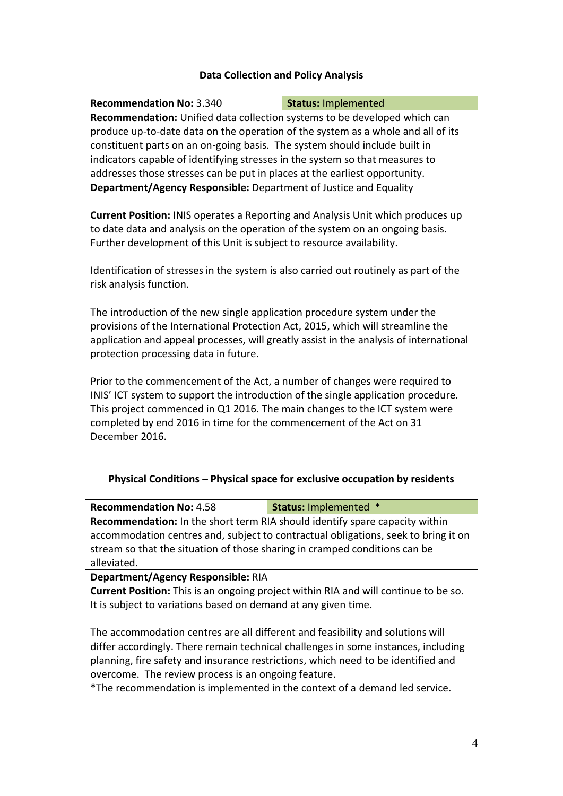#### **Data Collection and Policy Analysis**

| <b>Recommendation No: 3.340</b>                                                                                                                                                                                                                                                                                                                                      | <b>Status: Implemented</b> |  |
|----------------------------------------------------------------------------------------------------------------------------------------------------------------------------------------------------------------------------------------------------------------------------------------------------------------------------------------------------------------------|----------------------------|--|
| Recommendation: Unified data collection systems to be developed which can                                                                                                                                                                                                                                                                                            |                            |  |
| produce up-to-date data on the operation of the system as a whole and all of its                                                                                                                                                                                                                                                                                     |                            |  |
| constituent parts on an on-going basis. The system should include built in                                                                                                                                                                                                                                                                                           |                            |  |
| indicators capable of identifying stresses in the system so that measures to                                                                                                                                                                                                                                                                                         |                            |  |
| addresses those stresses can be put in places at the earliest opportunity.                                                                                                                                                                                                                                                                                           |                            |  |
| Department/Agency Responsible: Department of Justice and Equality                                                                                                                                                                                                                                                                                                    |                            |  |
| <b>Current Position: INIS operates a Reporting and Analysis Unit which produces up</b><br>to date data and analysis on the operation of the system on an ongoing basis.<br>Further development of this Unit is subject to resource availability.<br>Identification of stresses in the system is also carried out routinely as part of the<br>risk analysis function. |                            |  |
| The introduction of the new single application procedure system under the<br>provisions of the International Protection Act, 2015, which will streamline the<br>application and appeal processes, will greatly assist in the analysis of international<br>protection processing data in future.                                                                      |                            |  |
| Prior to the commencement of the Act, a number of changes were required to<br>INIS' ICT system to support the introduction of the single application procedure.<br>This project commenced in Q1 2016. The main changes to the ICT system were<br>completed by end 2016 in time for the commencement of the Act on 31<br>December 2016.                               |                            |  |

#### **Physical Conditions – Physical space for exclusive occupation by residents**

| <b>Recommendation No: 4.58</b>                                                      | <b>Status: Implemented *</b> |  |
|-------------------------------------------------------------------------------------|------------------------------|--|
| Recommendation: In the short term RIA should identify spare capacity within         |                              |  |
| accommodation centres and, subject to contractual obligations, seek to bring it on  |                              |  |
| stream so that the situation of those sharing in cramped conditions can be          |                              |  |
| alleviated.                                                                         |                              |  |
| Department/Agency Responsible: RIA                                                  |                              |  |
| Current Position: This is an ongoing project within RIA and will continue to be so. |                              |  |
| It is subject to variations based on demand at any given time.                      |                              |  |
|                                                                                     |                              |  |
| The accommodation centres are all different and feasibility and solutions will      |                              |  |
| differ accordingly. There remain technical challenges in seme instances, including  |                              |  |

differ accordingly. There remain technical challenges in some instances, including planning, fire safety and insurance restrictions, which need to be identified and overcome. The review process is an ongoing feature.

\*The recommendation is implemented in the context of a demand led service.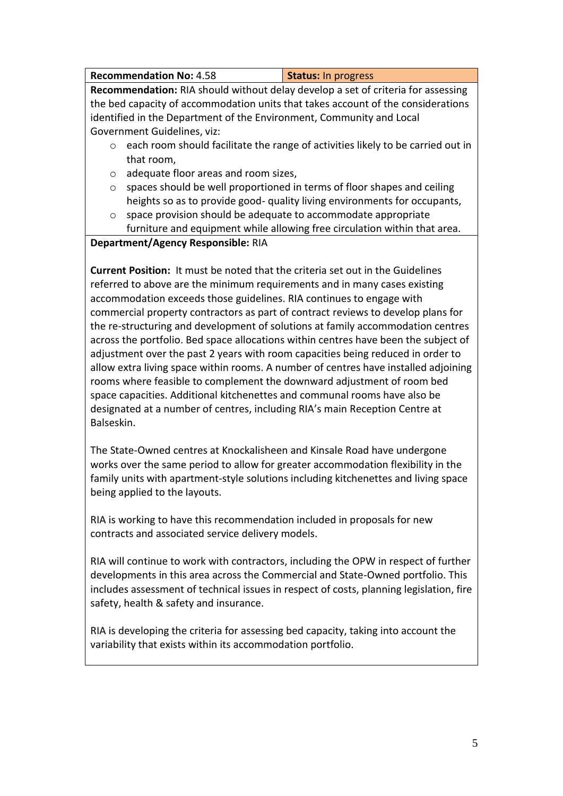| <b>Recommendation No: 4.58</b> | Status: In progress |
|--------------------------------|---------------------|
|--------------------------------|---------------------|

**Recommendation:** RIA should without delay develop a set of criteria for assessing the bed capacity of accommodation units that takes account of the considerations identified in the Department of the Environment, Community and Local Government Guidelines, viz:

- $\circ$  each room should facilitate the range of activities likely to be carried out in that room,
- $\circ$  adequate floor areas and room sizes.
- o spaces should be well proportioned in terms of floor shapes and ceiling heights so as to provide good- quality living environments for occupants,
- o space provision should be adequate to accommodate appropriate furniture and equipment while allowing free circulation within that area.

#### **Department/Agency Responsible:** RIA

**Current Position:** It must be noted that the criteria set out in the Guidelines referred to above are the minimum requirements and in many cases existing accommodation exceeds those guidelines. RIA continues to engage with commercial property contractors as part of contract reviews to develop plans for the re-structuring and development of solutions at family accommodation centres across the portfolio. Bed space allocations within centres have been the subject of adjustment over the past 2 years with room capacities being reduced in order to allow extra living space within rooms. A number of centres have installed adjoining rooms where feasible to complement the downward adjustment of room bed space capacities. Additional kitchenettes and communal rooms have also be designated at a number of centres, including RIA's main Reception Centre at Balseskin.

The State-Owned centres at Knockalisheen and Kinsale Road have undergone works over the same period to allow for greater accommodation flexibility in the family units with apartment-style solutions including kitchenettes and living space being applied to the layouts.

RIA is working to have this recommendation included in proposals for new contracts and associated service delivery models.

RIA will continue to work with contractors, including the OPW in respect of further developments in this area across the Commercial and State-Owned portfolio. This includes assessment of technical issues in respect of costs, planning legislation, fire safety, health & safety and insurance.

RIA is developing the criteria for assessing bed capacity, taking into account the variability that exists within its accommodation portfolio.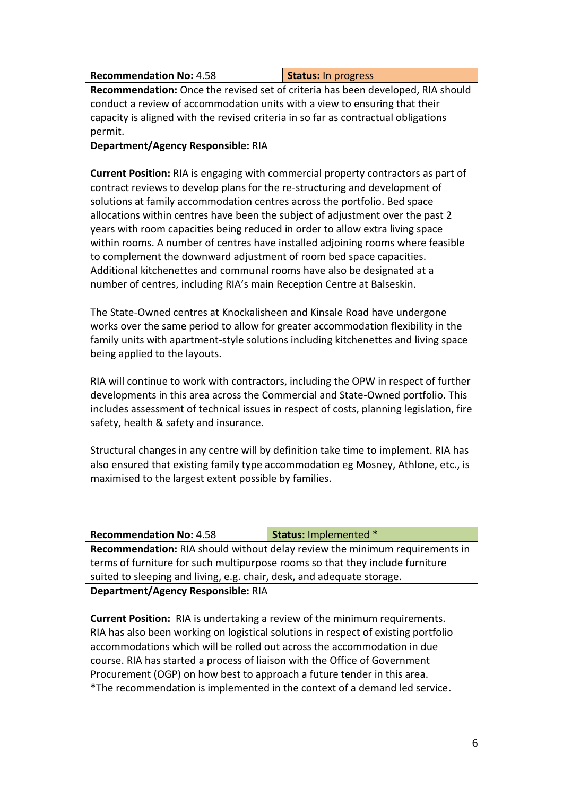| <b>Recommendation No: 4.58</b> | Status: In progress |
|--------------------------------|---------------------|
|--------------------------------|---------------------|

**Recommendation:** Once the revised set of criteria has been developed, RIA should conduct a review of accommodation units with a view to ensuring that their capacity is aligned with the revised criteria in so far as contractual obligations permit.

### **Department/Agency Responsible:** RIA

**Current Position:** RIA is engaging with commercial property contractors as part of contract reviews to develop plans for the re-structuring and development of solutions at family accommodation centres across the portfolio. Bed space allocations within centres have been the subject of adjustment over the past 2 years with room capacities being reduced in order to allow extra living space within rooms. A number of centres have installed adjoining rooms where feasible to complement the downward adjustment of room bed space capacities. Additional kitchenettes and communal rooms have also be designated at a number of centres, including RIA's main Reception Centre at Balseskin.

The State-Owned centres at Knockalisheen and Kinsale Road have undergone works over the same period to allow for greater accommodation flexibility in the family units with apartment-style solutions including kitchenettes and living space being applied to the layouts.

RIA will continue to work with contractors, including the OPW in respect of further developments in this area across the Commercial and State-Owned portfolio. This includes assessment of technical issues in respect of costs, planning legislation, fire safety, health & safety and insurance.

Structural changes in any centre will by definition take time to implement. RIA has also ensured that existing family type accommodation eg Mosney, Athlone, etc., is maximised to the largest extent possible by families.

| <b>Recommendation No: 4.58</b>                                                     | <b>Status: Implemented *</b> |
|------------------------------------------------------------------------------------|------------------------------|
| <b>Recommendation:</b> RIA should without delay review the minimum requirements in |                              |
| terms of furniture for such multipurpose rooms so that they include furniture      |                              |
| suited to sleeping and living, e.g. chair, desk, and adequate storage.             |                              |
| Department/Agency Responsible: RIA                                                 |                              |

**Current Position:** RIA is undertaking a review of the minimum requirements. RIA has also been working on logistical solutions in respect of existing portfolio accommodations which will be rolled out across the accommodation in due course. RIA has started a process of liaison with the Office of Government Procurement (OGP) on how best to approach a future tender in this area. \*The recommendation is implemented in the context of a demand led service.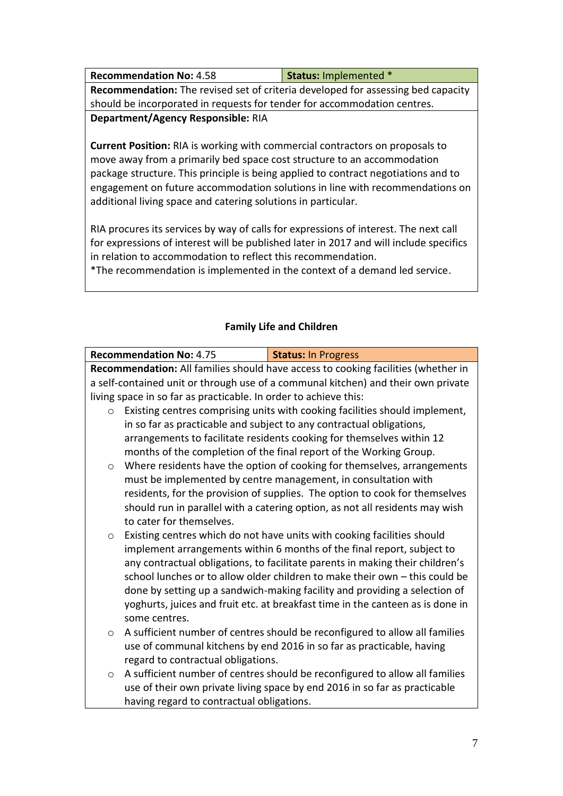| <b>Recommendation No: 4.58</b>                                                          | <b>Status: Implemented *</b> |  |
|-----------------------------------------------------------------------------------------|------------------------------|--|
| <b>Recommendation:</b> The revised set of criteria developed for assessing bed capacity |                              |  |
| should be incorporated in requests for tender for accommodation centres.                |                              |  |
| Department/Agency Responsible: RIA                                                      |                              |  |

**Current Position:** RIA is working with commercial contractors on proposals to move away from a primarily bed space cost structure to an accommodation package structure. This principle is being applied to contract negotiations and to engagement on future accommodation solutions in line with recommendations on additional living space and catering solutions in particular.

RIA procures its services by way of calls for expressions of interest. The next call for expressions of interest will be published later in 2017 and will include specifics in relation to accommodation to reflect this recommendation.

\*The recommendation is implemented in the context of a demand led service.

# **Family Life and Children**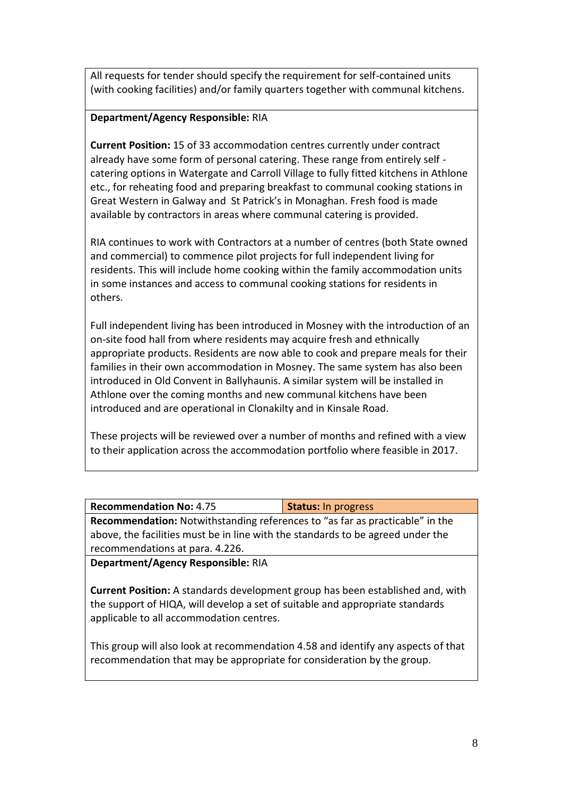All requests for tender should specify the requirement for self-contained units (with cooking facilities) and/or family quarters together with communal kitchens.

#### **Department/Agency Responsible:** RIA

**Current Position:** 15 of 33 accommodation centres currently under contract already have some form of personal catering. These range from entirely self catering options in Watergate and Carroll Village to fully fitted kitchens in Athlone etc., for reheating food and preparing breakfast to communal cooking stations in Great Western in Galway and St Patrick's in Monaghan. Fresh food is made available by contractors in areas where communal catering is provided.

RIA continues to work with Contractors at a number of centres (both State owned and commercial) to commence pilot projects for full independent living for residents. This will include home cooking within the family accommodation units in some instances and access to communal cooking stations for residents in others.

Full independent living has been introduced in Mosney with the introduction of an on-site food hall from where residents may acquire fresh and ethnically appropriate products. Residents are now able to cook and prepare meals for their families in their own accommodation in Mosney. The same system has also been introduced in Old Convent in Ballyhaunis. A similar system will be installed in Athlone over the coming months and new communal kitchens have been introduced and are operational in Clonakilty and in Kinsale Road.

These projects will be reviewed over a number of months and refined with a view to their application across the accommodation portfolio where feasible in 2017.

| <b>Recommendation No: 4.75</b> | <b>Status: In progress</b> |
|--------------------------------|----------------------------|
|                                |                            |

**Recommendation:** Notwithstanding references to "as far as practicable" in the above, the facilities must be in line with the standards to be agreed under the recommendations at para. 4.226.

**Department/Agency Responsible:** RIA

**Current Position:** A standards development group has been established and, with the support of HIQA, will develop a set of suitable and appropriate standards applicable to all accommodation centres.

This group will also look at recommendation 4.58 and identify any aspects of that recommendation that may be appropriate for consideration by the group.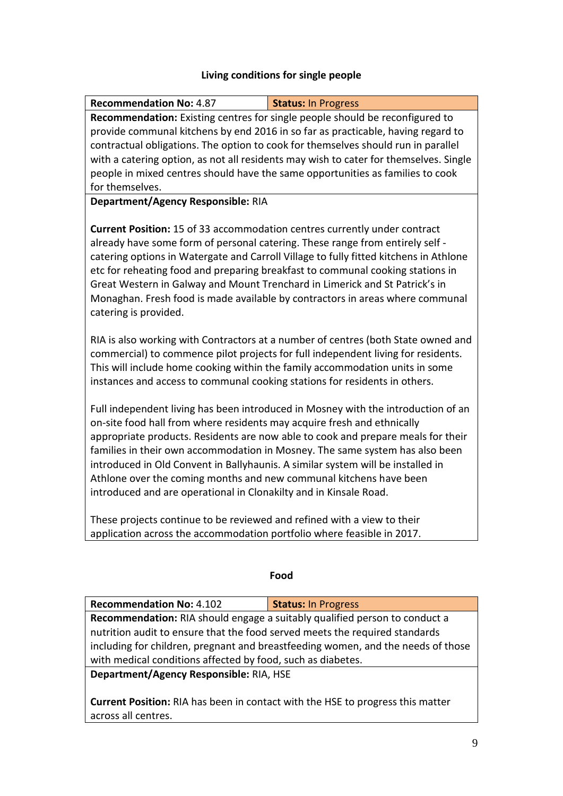# **Living conditions for single people**

**Recommendation No:** 4.87 **Status:** In Progress

| Recommendation: Existing centres for single people should be reconfigured to                                                                                                                                                                     |                                                                                       |  |
|--------------------------------------------------------------------------------------------------------------------------------------------------------------------------------------------------------------------------------------------------|---------------------------------------------------------------------------------------|--|
|                                                                                                                                                                                                                                                  | provide communal kitchens by end 2016 in so far as practicable, having regard to      |  |
|                                                                                                                                                                                                                                                  | contractual obligations. The option to cook for themselves should run in parallel     |  |
|                                                                                                                                                                                                                                                  | with a catering option, as not all residents may wish to cater for themselves. Single |  |
|                                                                                                                                                                                                                                                  | people in mixed centres should have the same opportunities as families to cook        |  |
| for themselves.                                                                                                                                                                                                                                  |                                                                                       |  |
| Department/Agency Responsible: RIA                                                                                                                                                                                                               |                                                                                       |  |
| Current Position: 15 of 33 accommodation centres currently under contract                                                                                                                                                                        |                                                                                       |  |
| already have some form of personal catering. These range from entirely self -                                                                                                                                                                    |                                                                                       |  |
|                                                                                                                                                                                                                                                  | catering options in Watergate and Carroll Village to fully fitted kitchens in Athlone |  |
|                                                                                                                                                                                                                                                  | etc for reheating food and preparing breakfast to communal cooking stations in        |  |
| Great Western in Galway and Mount Trenchard in Limerick and St Patrick's in                                                                                                                                                                      |                                                                                       |  |
|                                                                                                                                                                                                                                                  | Monaghan. Fresh food is made available by contractors in areas where communal         |  |
| catering is provided.                                                                                                                                                                                                                            |                                                                                       |  |
|                                                                                                                                                                                                                                                  |                                                                                       |  |
|                                                                                                                                                                                                                                                  | RIA is also working with Contractors at a number of centres (both State owned and     |  |
|                                                                                                                                                                                                                                                  | commercial) to commence pilot projects for full independent living for residents.     |  |
| This will include home cooking within the family accommodation units in some                                                                                                                                                                     |                                                                                       |  |
| instances and access to communal cooking stations for residents in others.                                                                                                                                                                       |                                                                                       |  |
| Full independent living has been introduced in Mosney with the introduction of an<br>on-site food hall from where residents may acquire fresh and ethnically<br>appropriate products. Residents are now able to cook and prepare meals for their |                                                                                       |  |
|                                                                                                                                                                                                                                                  | families in their own accommodation in Mosney. The same system has also been          |  |
| introduced in Old Convent in Ballyhaunis. A similar system will be installed in                                                                                                                                                                  |                                                                                       |  |
| Athlone over the coming months and new communal kitchens have been                                                                                                                                                                               |                                                                                       |  |
| introduced and are operational in Clonakilty and in Kinsale Road.                                                                                                                                                                                |                                                                                       |  |
| These projects continue to be reviewed and refined with a view to their                                                                                                                                                                          |                                                                                       |  |
| application across the accommodation portfolio where feasible in 2017.                                                                                                                                                                           |                                                                                       |  |
|                                                                                                                                                                                                                                                  |                                                                                       |  |
| Food                                                                                                                                                                                                                                             |                                                                                       |  |
|                                                                                                                                                                                                                                                  |                                                                                       |  |
| <b>Recommendation No: 4.102</b>                                                                                                                                                                                                                  | <b>Status: In Progress</b>                                                            |  |
| Recommendation: RIA should engage a suitably qualified person to conduct a                                                                                                                                                                       |                                                                                       |  |
| nutrition audit to ensure that the food served meets the required standards                                                                                                                                                                      |                                                                                       |  |
| including for children, pregnant and breastfeeding women, and the needs of those                                                                                                                                                                 |                                                                                       |  |
| with medical conditions affected by food, such as diabetes.                                                                                                                                                                                      |                                                                                       |  |
| Department/Agency Responsible: RIA, HSE                                                                                                                                                                                                          |                                                                                       |  |
| Current Position: RIA has been in contact with the HSE to progress this matter                                                                                                                                                                   |                                                                                       |  |
| across all centres.                                                                                                                                                                                                                              |                                                                                       |  |
|                                                                                                                                                                                                                                                  |                                                                                       |  |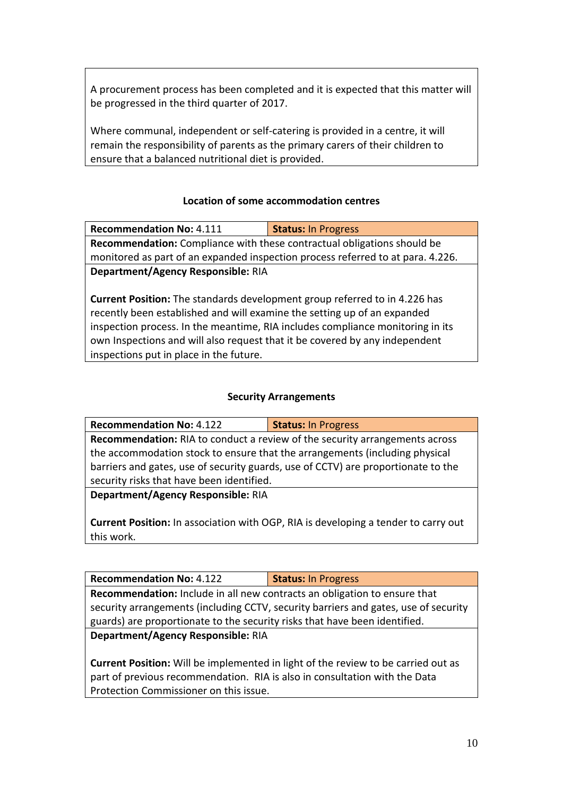A procurement process has been completed and it is expected that this matter will be progressed in the third quarter of 2017.

Where communal, independent or self-catering is provided in a centre, it will remain the responsibility of parents as the primary carers of their children to ensure that a balanced nutritional diet is provided.

#### **Location of some accommodation centres**

| <b>Recommendation No: 4.111</b>                                                 | <b>Status: In Progress</b> |  |
|---------------------------------------------------------------------------------|----------------------------|--|
| <b>Recommendation:</b> Compliance with these contractual obligations should be  |                            |  |
| monitored as part of an expanded inspection process referred to at para. 4.226. |                            |  |
| Department/Agency Responsible: RIA                                              |                            |  |

**Current Position:** The standards development group referred to in 4.226 has recently been established and will examine the setting up of an expanded inspection process. In the meantime, RIA includes compliance monitoring in its own Inspections and will also request that it be covered by any independent inspections put in place in the future.

#### **Security Arrangements**

| <b>Recommendation No: 4.122</b>                                                    | <b>Status: In Progress</b> |  |
|------------------------------------------------------------------------------------|----------------------------|--|
| <b>Recommendation:</b> RIA to conduct a review of the security arrangements across |                            |  |
| the accommodation stock to ensure that the arrangements (including physical        |                            |  |
| barriers and gates, use of security guards, use of CCTV) are proportionate to the  |                            |  |
| security risks that have been identified.                                          |                            |  |
| Department/Agency Responsible: RIA                                                 |                            |  |
|                                                                                    |                            |  |

**Current Position:** In association with OGP, RIA is developing a tender to carry out this work.

**Recommendation No:** 4.122 **Status:** In Progress

**Recommendation:** Include in all new contracts an obligation to ensure that security arrangements (including CCTV, security barriers and gates, use of security guards) are proportionate to the security risks that have been identified.

**Department/Agency Responsible:** RIA

**Current Position:** Will be implemented in light of the review to be carried out as part of previous recommendation. RIA is also in consultation with the Data Protection Commissioner on this issue.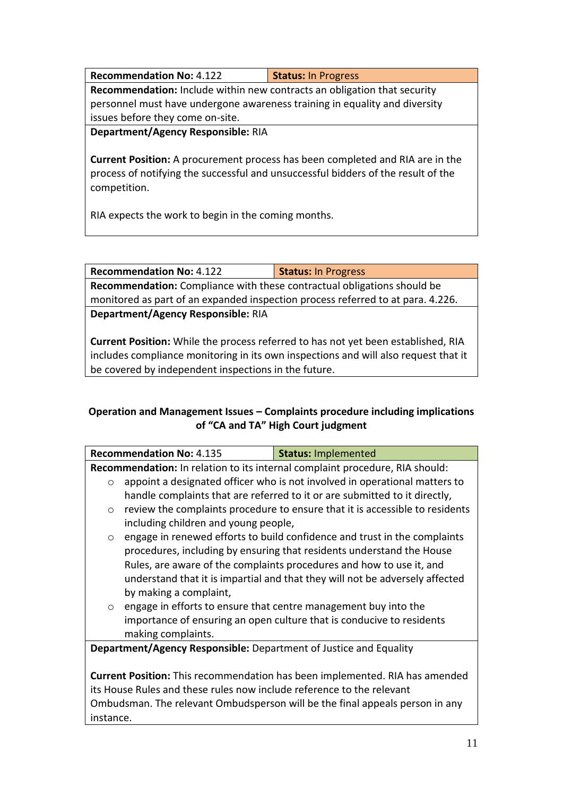| <b>Recommendation No: 4.122</b>                                                 | <b>Status: In Progress</b> |
|---------------------------------------------------------------------------------|----------------------------|
| <b>Recommendation:</b> Include within new contracts an obligation that security |                            |
| personnel must have undergone awareness training in equality and diversity      |                            |
| issues before they come on-site.                                                |                            |
|                                                                                 |                            |

**Department/Agency Responsible:** RIA

**Current Position:** A procurement process has been completed and RIA are in the process of notifying the successful and unsuccessful bidders of the result of the competition.

RIA expects the work to begin in the coming months.

**Recommendation No:** 4.122 **Status:** In Progress **Recommendation:** Compliance with these contractual obligations should be monitored as part of an expanded inspection process referred to at para. 4.226. **Department/Agency Responsible:** RIA

**Current Position:** While the process referred to has not yet been established, RIA includes compliance monitoring in its own inspections and will also request that it be covered by independent inspections in the future.

## **Operation and Management Issues – Complaints procedure including implications of "CA and TA" High Court judgment**

|                                                                                    | <b>Recommendation No: 4.135</b>                                                     | <b>Status: Implemented</b>                                                   |  |
|------------------------------------------------------------------------------------|-------------------------------------------------------------------------------------|------------------------------------------------------------------------------|--|
|                                                                                    | <b>Recommendation:</b> In relation to its internal complaint procedure, RIA should: |                                                                              |  |
| $\circ$                                                                            |                                                                                     | appoint a designated officer who is not involved in operational matters to   |  |
|                                                                                    |                                                                                     | handle complaints that are referred to it or are submitted to it directly,   |  |
| $\circ$                                                                            |                                                                                     | review the complaints procedure to ensure that it is accessible to residents |  |
|                                                                                    | including children and young people,                                                |                                                                              |  |
| $\circ$                                                                            |                                                                                     | engage in renewed efforts to build confidence and trust in the complaints    |  |
|                                                                                    |                                                                                     | procedures, including by ensuring that residents understand the House        |  |
|                                                                                    |                                                                                     | Rules, are aware of the complaints procedures and how to use it, and         |  |
|                                                                                    |                                                                                     | understand that it is impartial and that they will not be adversely affected |  |
|                                                                                    | by making a complaint,                                                              |                                                                              |  |
| $\circ$                                                                            |                                                                                     | engage in efforts to ensure that centre management buy into the              |  |
|                                                                                    |                                                                                     | importance of ensuring an open culture that is conducive to residents        |  |
|                                                                                    | making complaints.                                                                  |                                                                              |  |
|                                                                                    | <b>Department/Agency Responsible:</b> Department of Justice and Equality            |                                                                              |  |
|                                                                                    |                                                                                     |                                                                              |  |
| <b>Current Position:</b> This recommendation has been implemented. RIA has amended |                                                                                     |                                                                              |  |
| its House Rules and these rules now include reference to the relevant              |                                                                                     |                                                                              |  |
| Ombudsman. The relevant Ombudsperson will be the final appeals person in any       |                                                                                     |                                                                              |  |
|                                                                                    | instance.                                                                           |                                                                              |  |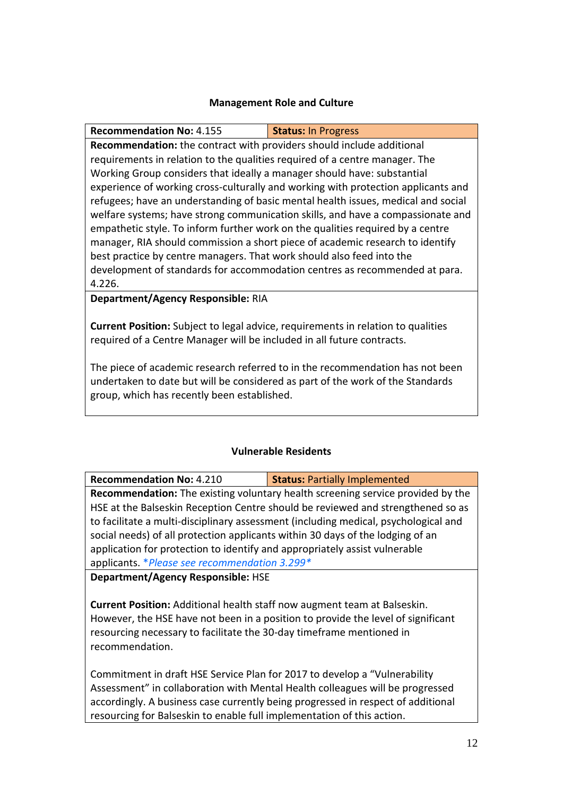#### **Management Role and Culture**

**Recommendation No:** 4.155 **Status:** In Progress **Recommendation:** the contract with providers should include additional requirements in relation to the qualities required of a centre manager. The Working Group considers that ideally a manager should have: substantial experience of working cross-culturally and working with protection applicants and refugees; have an understanding of basic mental health issues, medical and social welfare systems; have strong communication skills, and have a compassionate and empathetic style. To inform further work on the qualities required by a centre manager, RIA should commission a short piece of academic research to identify best practice by centre managers. That work should also feed into the development of standards for accommodation centres as recommended at para. 4.226.

**Department/Agency Responsible:** RIA

**Current Position:** Subject to legal advice, requirements in relation to qualities required of a Centre Manager will be included in all future contracts.

The piece of academic research referred to in the recommendation has not been undertaken to date but will be considered as part of the work of the Standards group, which has recently been established.

#### **Vulnerable Residents**

**Recommendation No:** 4.210 **Status:** Partially Implemented

**Recommendation:** The existing voluntary health screening service provided by the HSE at the Balseskin Reception Centre should be reviewed and strengthened so as to facilitate a multi-disciplinary assessment (including medical, psychological and social needs) of all protection applicants within 30 days of the lodging of an application for protection to identify and appropriately assist vulnerable applicants. \**Please see recommendation 3.299\**

**Department/Agency Responsible:** HSE

**Current Position:** Additional health staff now augment team at Balseskin. However, the HSE have not been in a position to provide the level of significant resourcing necessary to facilitate the 30-day timeframe mentioned in recommendation.

Commitment in draft HSE Service Plan for 2017 to develop a "Vulnerability Assessment" in collaboration with Mental Health colleagues will be progressed accordingly. A business case currently being progressed in respect of additional resourcing for Balseskin to enable full implementation of this action.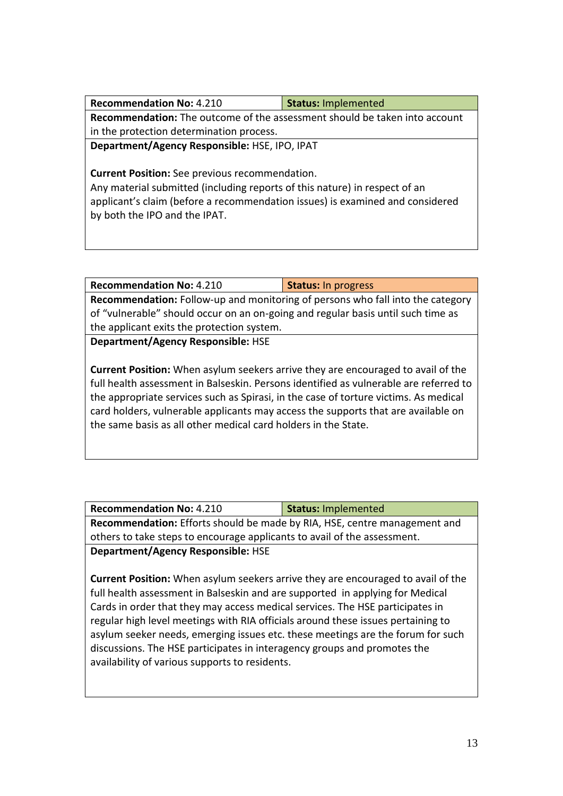| <b>Recommendation No: 4.210</b>                                               | <b>Status: Implemented</b> |  |
|-------------------------------------------------------------------------------|----------------------------|--|
| Recommendation: The outcome of the assessment should be taken into account    |                            |  |
| in the protection determination process.                                      |                            |  |
| Department/Agency Responsible: HSE, IPO, IPAT                                 |                            |  |
|                                                                               |                            |  |
| <b>Current Position:</b> See previous recommendation.                         |                            |  |
| Any material submitted (including reports of this nature) in respect of an    |                            |  |
| applicant's claim (before a recommendation issues) is examined and considered |                            |  |
| by both the IPO and the IPAT.                                                 |                            |  |

| <b>Recommendation No: 4.210</b>                                                                                                                                                                                                                                                                                                                                                                                                 | <b>Status: In progress</b> |  |
|---------------------------------------------------------------------------------------------------------------------------------------------------------------------------------------------------------------------------------------------------------------------------------------------------------------------------------------------------------------------------------------------------------------------------------|----------------------------|--|
| Recommendation: Follow-up and monitoring of persons who fall into the category                                                                                                                                                                                                                                                                                                                                                  |                            |  |
| of "vulnerable" should occur on an on-going and regular basis until such time as                                                                                                                                                                                                                                                                                                                                                |                            |  |
| the applicant exits the protection system.                                                                                                                                                                                                                                                                                                                                                                                      |                            |  |
| Department/Agency Responsible: HSE                                                                                                                                                                                                                                                                                                                                                                                              |                            |  |
|                                                                                                                                                                                                                                                                                                                                                                                                                                 |                            |  |
| <b>Current Position:</b> When asylum seekers arrive they are encouraged to avail of the<br>full health assessment in Balseskin. Persons identified as vulnerable are referred to<br>the appropriate services such as Spirasi, in the case of torture victims. As medical<br>card holders, vulnerable applicants may access the supports that are available on<br>the same basis as all other medical card holders in the State. |                            |  |

| <b>Recommendation No: 4.210</b>                                           | <b>Status: Implemented</b> |  |
|---------------------------------------------------------------------------|----------------------------|--|
| Recommendation: Efforts should be made by RIA, HSE, centre management and |                            |  |
| others to take steps to encourage applicants to avail of the assessment.  |                            |  |
| <b>Department/Agency Responsible: HSE</b>                                 |                            |  |

**Current Position:** When asylum seekers arrive they are encouraged to avail of the full health assessment in Balseskin and are supported in applying for Medical Cards in order that they may access medical services. The HSE participates in regular high level meetings with RIA officials around these issues pertaining to asylum seeker needs, emerging issues etc. these meetings are the forum for such discussions. The HSE participates in interagency groups and promotes the availability of various supports to residents.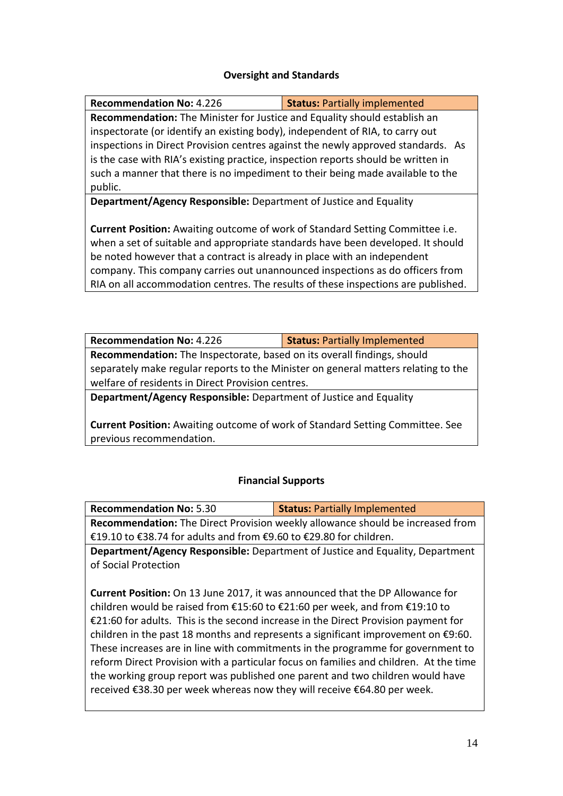#### **Oversight and Standards**

| <b>Recommendation No: 4.226</b>                                                      | <b>Status: Partially implemented</b> |  |
|--------------------------------------------------------------------------------------|--------------------------------------|--|
| Recommendation: The Minister for Justice and Equality should establish an            |                                      |  |
| inspectorate (or identify an existing body), independent of RIA, to carry out        |                                      |  |
| inspections in Direct Provision centres against the newly approved standards. As     |                                      |  |
| is the case with RIA's existing practice, inspection reports should be written in    |                                      |  |
| such a manner that there is no impediment to their being made available to the       |                                      |  |
| public.                                                                              |                                      |  |
| <b>Department/Agency Responsible:</b> Department of Justice and Equality             |                                      |  |
|                                                                                      |                                      |  |
| <b>Current Position:</b> Awaiting outcome of work of Standard Setting Committee i.e. |                                      |  |
| when a set of suitable and appropriate standards have been developed. It should      |                                      |  |
| be noted however that a contract is already in place with an independent             |                                      |  |
| company. This company carries out unannounced inspections as do officers from        |                                      |  |

ny. This company carries out unannounced inspections as do officers from RIA on all accommodation centres. The results of these inspections are published.

| <b>Recommendation No: 4.226</b>                                                    | <b>Status: Partially Implemented</b> |  |
|------------------------------------------------------------------------------------|--------------------------------------|--|
| Recommendation: The Inspectorate, based on its overall findings, should            |                                      |  |
| separately make regular reports to the Minister on general matters relating to the |                                      |  |
| welfare of residents in Direct Provision centres.                                  |                                      |  |
|                                                                                    |                                      |  |

**Department/Agency Responsible:** Department of Justice and Equality

**Current Position:** Awaiting outcome of work of Standard Setting Committee. See previous recommendation.

#### **Financial Supports**

| <b>Recommendation No: 5.30</b>                                                              | <b>Status: Partially Implemented</b>                                                 |  |
|---------------------------------------------------------------------------------------------|--------------------------------------------------------------------------------------|--|
|                                                                                             | Recommendation: The Direct Provision weekly allowance should be increased from       |  |
| €19.10 to €38.74 for adults and from €9.60 to €29.80 for children.                          |                                                                                      |  |
|                                                                                             | Department/Agency Responsible: Department of Justice and Equality, Department        |  |
| of Social Protection                                                                        |                                                                                      |  |
|                                                                                             |                                                                                      |  |
|                                                                                             | <b>Current Position:</b> On 13 June 2017, it was announced that the DP Allowance for |  |
| children would be raised from €15:60 to €21:60 per week, and from €19:10 to                 |                                                                                      |  |
| €21:60 for adults. This is the second increase in the Direct Provision payment for          |                                                                                      |  |
| children in the past 18 months and represents a significant improvement on $\epsilon$ 9:60. |                                                                                      |  |
| These increases are in line with commitments in the programme for government to             |                                                                                      |  |
| reform Direct Provision with a particular focus on families and children. At the time       |                                                                                      |  |
| the working group report was published one parent and two children would have               |                                                                                      |  |
| received €38.30 per week whereas now they will receive €64.80 per week.                     |                                                                                      |  |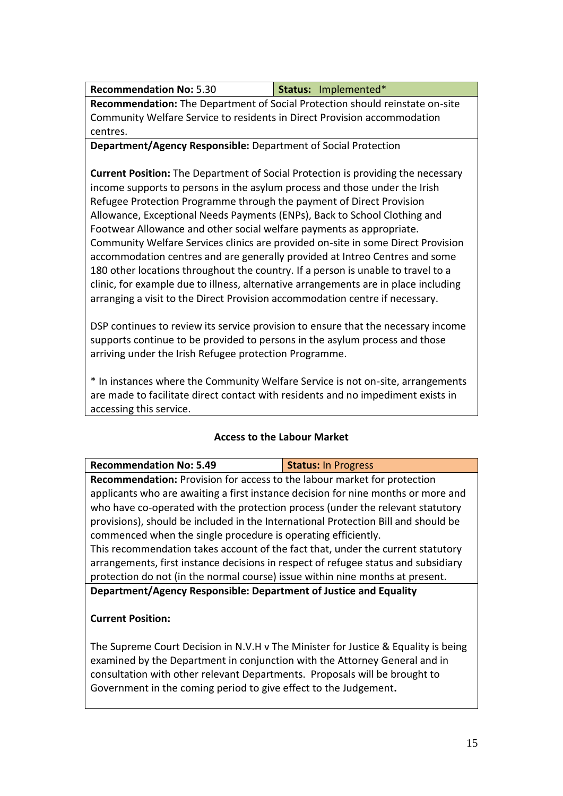| <b>Recommendation No: 5.30</b> | Status: Implemented* |
|--------------------------------|----------------------|
|--------------------------------|----------------------|

**Recommendation:** The Department of Social Protection should reinstate on-site Community Welfare Service to residents in Direct Provision accommodation centres.

### **Department/Agency Responsible:** Department of Social Protection

**Current Position:** The Department of Social Protection is providing the necessary income supports to persons in the asylum process and those under the Irish Refugee Protection Programme through the payment of Direct Provision Allowance, Exceptional Needs Payments (ENPs), Back to School Clothing and Footwear Allowance and other social welfare payments as appropriate. Community Welfare Services clinics are provided on-site in some Direct Provision accommodation centres and are generally provided at Intreo Centres and some 180 other locations throughout the country. If a person is unable to travel to a clinic, for example due to illness, alternative arrangements are in place including arranging a visit to the Direct Provision accommodation centre if necessary.

DSP continues to review its service provision to ensure that the necessary income supports continue to be provided to persons in the asylum process and those arriving under the Irish Refugee protection Programme.

\* In instances where the Community Welfare Service is not on-site, arrangements are made to facilitate direct contact with residents and no impediment exists in accessing this service.

## **Access to the Labour Market**

| <b>Recommendation No: 5.49</b>                                                     | <b>Status: In Progress</b> |  |
|------------------------------------------------------------------------------------|----------------------------|--|
| <b>Recommendation:</b> Provision for access to the labour market for protection    |                            |  |
| applicants who are awaiting a first instance decision for nine months or more and  |                            |  |
| who have co-operated with the protection process (under the relevant statutory     |                            |  |
| provisions), should be included in the International Protection Bill and should be |                            |  |
| commenced when the single procedure is operating efficiently.                      |                            |  |
| This recommendation takes account of the fact that, under the current statutory    |                            |  |
| arrangements, first instance decisions in respect of refugee status and subsidiary |                            |  |
| protection do not (in the normal course) issue within nine months at present.      |                            |  |
| Department/Agency Responsible: Department of Justice and Equality                  |                            |  |
| <b>Current Position:</b>                                                           |                            |  |

The Supreme Court Decision in N.V.H v The Minister for Justice & Equality is being examined by the Department in conjunction with the Attorney General and in consultation with other relevant Departments. Proposals will be brought to Government in the coming period to give effect to the Judgement**.**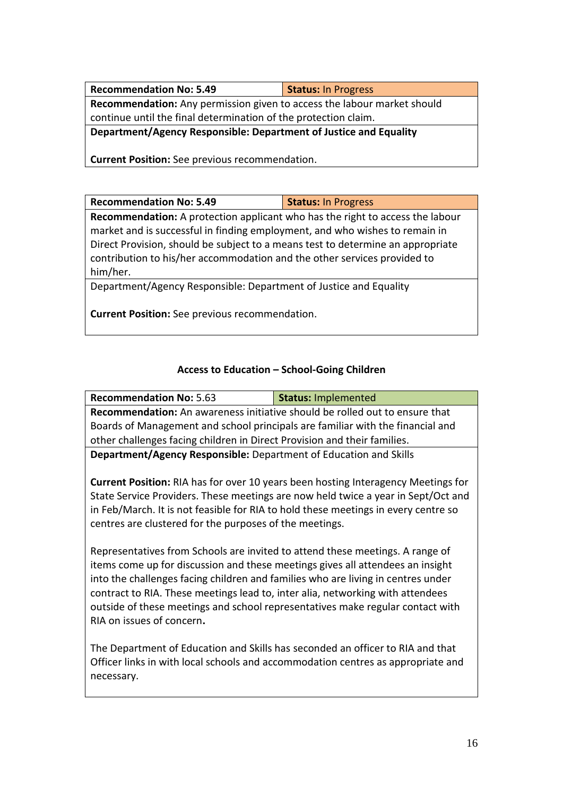| <b>Recommendation No: 5.49</b>                                          | <b>Status: In Progress</b> |  |
|-------------------------------------------------------------------------|----------------------------|--|
| Recommendation: Any permission given to access the labour market should |                            |  |
| continue until the final determination of the protection claim.         |                            |  |
| Department/Agency Responsible: Department of Justice and Equality       |                            |  |
|                                                                         |                            |  |
|                                                                         |                            |  |

**Current Position:** See previous recommendation.

| <b>Recommendation No: 5.49</b>                                                       | <b>Status: In Progress</b> |  |
|--------------------------------------------------------------------------------------|----------------------------|--|
| <b>Recommendation:</b> A protection applicant who has the right to access the labour |                            |  |
| market and is successful in finding employment, and who wishes to remain in          |                            |  |
| Direct Provision, should be subject to a means test to determine an appropriate      |                            |  |
| contribution to his/her accommodation and the other services provided to             |                            |  |
| him/her.                                                                             |                            |  |
| Department/Agency Responsible: Department of Justice and Equality                    |                            |  |
|                                                                                      |                            |  |

**Current Position:** See previous recommendation.

# **Access to Education – School-Going Children**

| <b>Recommendation No: 5.63</b>                                                                                                                                                                                                                                                                                                                                                                                                                       | <b>Status: Implemented</b> |
|------------------------------------------------------------------------------------------------------------------------------------------------------------------------------------------------------------------------------------------------------------------------------------------------------------------------------------------------------------------------------------------------------------------------------------------------------|----------------------------|
| <b>Recommendation:</b> An awareness initiative should be rolled out to ensure that                                                                                                                                                                                                                                                                                                                                                                   |                            |
| Boards of Management and school principals are familiar with the financial and                                                                                                                                                                                                                                                                                                                                                                       |                            |
| other challenges facing children in Direct Provision and their families.                                                                                                                                                                                                                                                                                                                                                                             |                            |
| Department/Agency Responsible: Department of Education and Skills                                                                                                                                                                                                                                                                                                                                                                                    |                            |
| <b>Current Position:</b> RIA has for over 10 years been hosting Interagency Meetings for<br>State Service Providers. These meetings are now held twice a year in Sept/Oct and<br>in Feb/March. It is not feasible for RIA to hold these meetings in every centre so<br>centres are clustered for the purposes of the meetings.                                                                                                                       |                            |
| Representatives from Schools are invited to attend these meetings. A range of<br>items come up for discussion and these meetings gives all attendees an insight<br>into the challenges facing children and families who are living in centres under<br>contract to RIA. These meetings lead to, inter alia, networking with attendees<br>outside of these meetings and school representatives make regular contact with<br>RIA on issues of concern. |                            |
| The Department of Education and Skills has seconded an officer to RIA and that                                                                                                                                                                                                                                                                                                                                                                       |                            |

The Department of Education and Skills has seconded an officer to RIA and that Officer links in with local schools and accommodation centres as appropriate and necessary.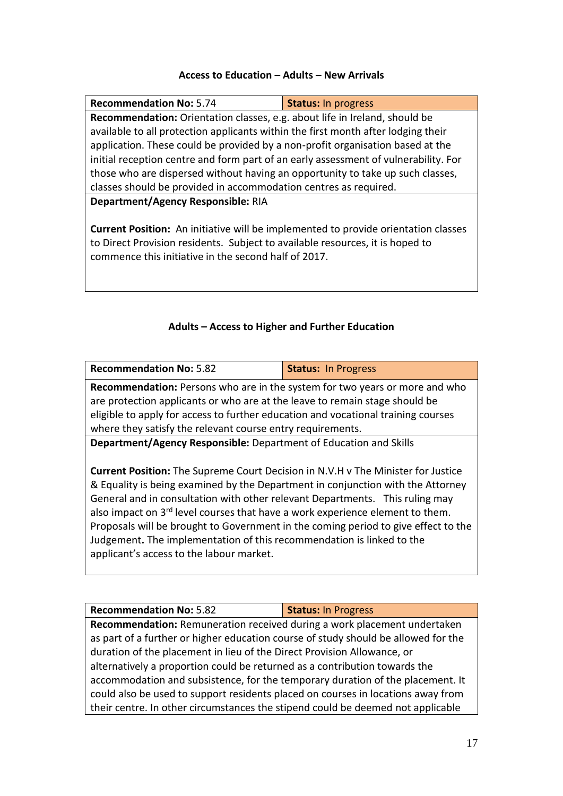#### **Access to Education – Adults – New Arrivals**

| <b>Recommendation No: 5.74</b>                                                            | <b>Status: In progress</b>                                                        |  |
|-------------------------------------------------------------------------------------------|-----------------------------------------------------------------------------------|--|
|                                                                                           | <b>Recommendation:</b> Orientation classes, e.g. about life in Ireland, should be |  |
| available to all protection applicants within the first month after lodging their         |                                                                                   |  |
| application. These could be provided by a non-profit organisation based at the            |                                                                                   |  |
| initial reception centre and form part of an early assessment of vulnerability. For       |                                                                                   |  |
| those who are dispersed without having an opportunity to take up such classes,            |                                                                                   |  |
| classes should be provided in accommodation centres as required.                          |                                                                                   |  |
| Department/Agency Responsible: RIA                                                        |                                                                                   |  |
|                                                                                           |                                                                                   |  |
| <b>Current Position:</b> An initiative will be implemented to provide orientation classes |                                                                                   |  |
| to Direct Provision residents. Subject to available resources, it is hoped to             |                                                                                   |  |
| commence this initiative in the second half of 2017.                                      |                                                                                   |  |
|                                                                                           |                                                                                   |  |
|                                                                                           |                                                                                   |  |

## **Adults – Access to Higher and Further Education**

| <b>Recommendation No: 5.82</b>                                                            | <b>Status: In Progress</b> |  |
|-------------------------------------------------------------------------------------------|----------------------------|--|
| <b>Recommendation:</b> Persons who are in the system for two years or more and who        |                            |  |
| are protection applicants or who are at the leave to remain stage should be               |                            |  |
| eligible to apply for access to further education and vocational training courses         |                            |  |
| where they satisfy the relevant course entry requirements.                                |                            |  |
| Department/Agency Responsible: Department of Education and Skills                         |                            |  |
|                                                                                           |                            |  |
| <b>Current Position:</b> The Supreme Court Decision in N.V.H v The Minister for Justice   |                            |  |
| & Equality is being examined by the Department in conjunction with the Attorney           |                            |  |
| General and in consultation with other relevant Departments. This ruling may              |                            |  |
| also impact on 3 <sup>rd</sup> level courses that have a work experience element to them. |                            |  |
| Proposals will be brought to Government in the coming period to give effect to the        |                            |  |
| Judgement. The implementation of this recommendation is linked to the                     |                            |  |
| applicant's access to the labour market.                                                  |                            |  |
|                                                                                           |                            |  |

**Recommendation:** Remuneration received during a work placement undertaken as part of a further or higher education course of study should be allowed for the duration of the placement in lieu of the Direct Provision Allowance, or alternatively a proportion could be returned as a contribution towards the accommodation and subsistence, for the temporary duration of the placement. It could also be used to support residents placed on courses in locations away from their centre. In other circumstances the stipend could be deemed not applicable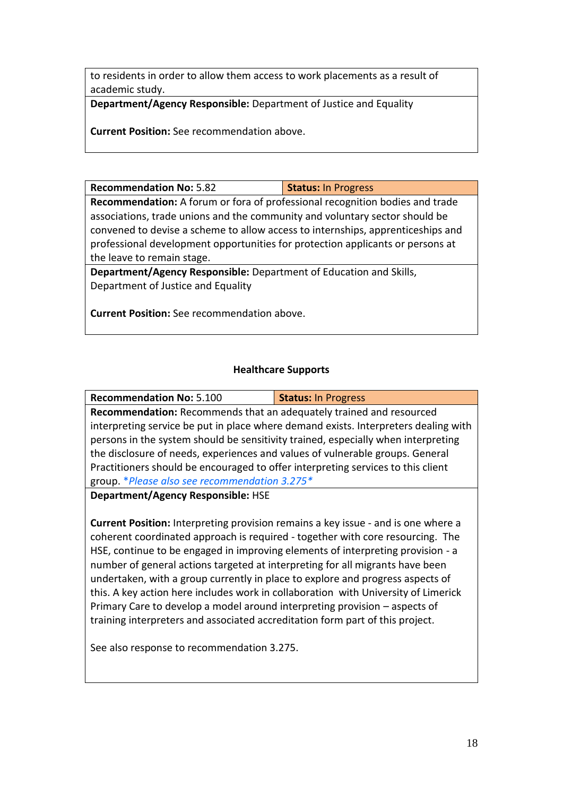to residents in order to allow them access to work placements as a result of academic study.

**Department/Agency Responsible:** Department of Justice and Equality

**Current Position:** See recommendation above.

**Recommendation No: 5.82 Status: In Progress** 

**Recommendation:** A forum or fora of professional recognition bodies and trade associations, trade unions and the community and voluntary sector should be convened to devise a scheme to allow access to internships, apprenticeships and professional development opportunities for protection applicants or persons at the leave to remain stage.

**Department/Agency Responsible:** Department of Education and Skills, Department of Justice and Equality

**Current Position:** See recommendation above.

#### **Healthcare Supports**

| <b>Recommendation No: 5.100</b>                                                   | <b>Status: In Progress</b>                                                          |  |
|-----------------------------------------------------------------------------------|-------------------------------------------------------------------------------------|--|
| Recommendation: Recommends that an adequately trained and resourced               |                                                                                     |  |
|                                                                                   | interpreting service be put in place where demand exists. Interpreters dealing with |  |
| persons in the system should be sensitivity trained, especially when interpreting |                                                                                     |  |
| the disclosure of needs, experiences and values of vulnerable groups. General     |                                                                                     |  |
| Practitioners should be encouraged to offer interpreting services to this client  |                                                                                     |  |
| group. *Please also see recommendation 3.275*                                     |                                                                                     |  |
|                                                                                   |                                                                                     |  |

**Department/Agency Responsible:** HSE

**Current Position:** Interpreting provision remains a key issue - and is one where a coherent coordinated approach is required - together with core resourcing. The HSE, continue to be engaged in improving elements of interpreting provision - a number of general actions targeted at interpreting for all migrants have been undertaken, with a group currently in place to explore and progress aspects of this. A key action here includes work in collaboration with University of Limerick Primary Care to develop a model around interpreting provision – aspects of training interpreters and associated accreditation form part of this project.

See also response to recommendation 3.275.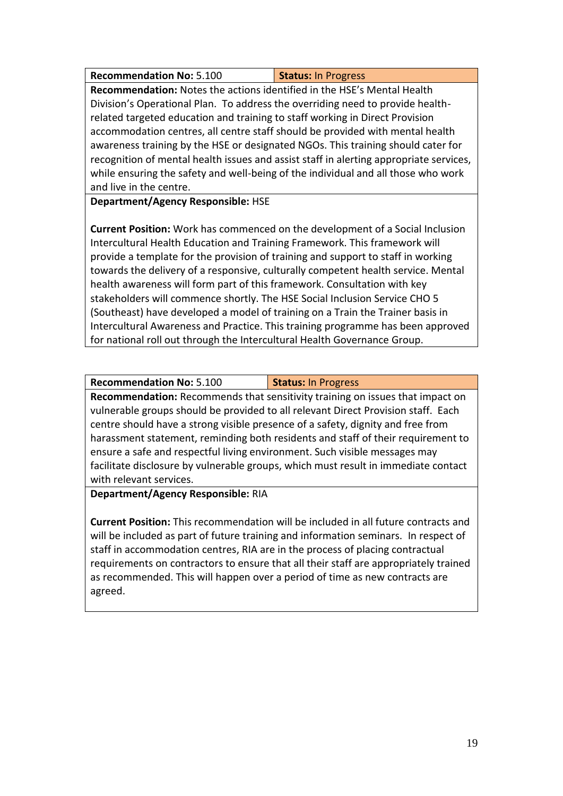| <b>Recommendation No: 5.100</b> | Status: In Progress |
|---------------------------------|---------------------|
|---------------------------------|---------------------|

**Recommendation:** Notes the actions identified in the HSE's Mental Health Division's Operational Plan. To address the overriding need to provide healthrelated targeted education and training to staff working in Direct Provision accommodation centres, all centre staff should be provided with mental health awareness training by the HSE or designated NGOs. This training should cater for recognition of mental health issues and assist staff in alerting appropriate services, while ensuring the safety and well-being of the individual and all those who work and live in the centre.

**Department/Agency Responsible:** HSE

**Current Position:** Work has commenced on the development of a Social Inclusion Intercultural Health Education and Training Framework. This framework will provide a template for the provision of training and support to staff in working towards the delivery of a responsive, culturally competent health service. Mental health awareness will form part of this framework. Consultation with key stakeholders will commence shortly. The HSE Social Inclusion Service CHO 5 (Southeast) have developed a model of training on a Train the Trainer basis in Intercultural Awareness and Practice. This training programme has been approved for national roll out through the Intercultural Health Governance Group.

**Recommendation No:** 5.100 **Status:** In Progress **Recommendation:** Recommends that sensitivity training on issues that impact on vulnerable groups should be provided to all relevant Direct Provision staff. Each centre should have a strong visible presence of a safety, dignity and free from harassment statement, reminding both residents and staff of their requirement to ensure a safe and respectful living environment. Such visible messages may facilitate disclosure by vulnerable groups, which must result in immediate contact with relevant services.

**Department/Agency Responsible:** RIA

**Current Position:** This recommendation will be included in all future contracts and will be included as part of future training and information seminars. In respect of staff in accommodation centres, RIA are in the process of placing contractual requirements on contractors to ensure that all their staff are appropriately trained as recommended. This will happen over a period of time as new contracts are agreed.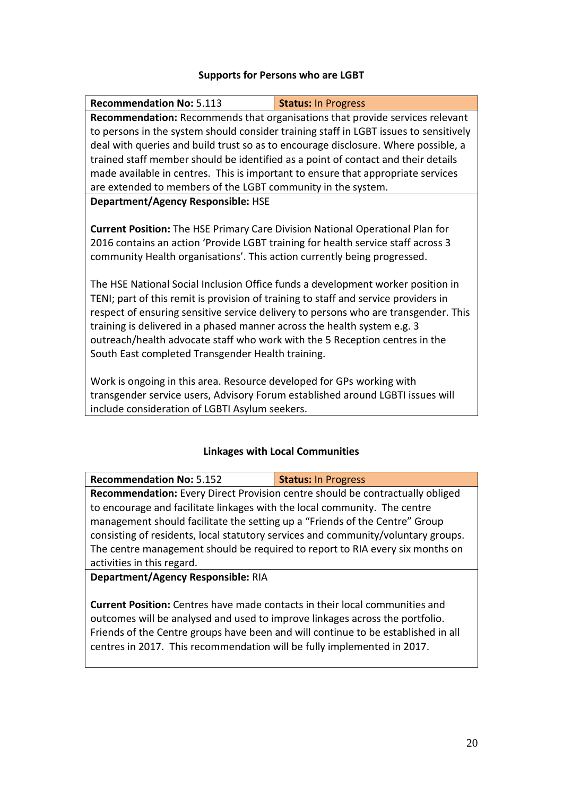#### **Supports for Persons who are LGBT**

| <b>Recommendation No: 5.113</b>                                                      | <b>Status: In Progress</b>                                                            |  |
|--------------------------------------------------------------------------------------|---------------------------------------------------------------------------------------|--|
|                                                                                      | Recommendation: Recommends that organisations that provide services relevant          |  |
|                                                                                      | to persons in the system should consider training staff in LGBT issues to sensitively |  |
|                                                                                      | deal with queries and build trust so as to encourage disclosure. Where possible, a    |  |
|                                                                                      | trained staff member should be identified as a point of contact and their details     |  |
|                                                                                      | made available in centres. This is important to ensure that appropriate services      |  |
| are extended to members of the LGBT community in the system.                         |                                                                                       |  |
| <b>Department/Agency Responsible: HSE</b>                                            |                                                                                       |  |
|                                                                                      |                                                                                       |  |
| <b>Current Position:</b> The HSE Primary Care Division National Operational Plan for |                                                                                       |  |
| 2016 contains an action 'Provide LGBT training for health service staff across 3     |                                                                                       |  |
| community Health organisations'. This action currently being progressed.             |                                                                                       |  |
|                                                                                      |                                                                                       |  |
|                                                                                      | The HSE National Social Inclusion Office funds a development worker position in       |  |
| TENI; part of this remit is provision of training to staff and service providers in  |                                                                                       |  |
|                                                                                      | respect of ensuring sensitive service delivery to persons who are transgender. This   |  |
| training is delivered in a phased manner across the health system e.g. 3             |                                                                                       |  |
| outreach/health advocate staff who work with the 5 Reception centres in the          |                                                                                       |  |
| South East completed Transgender Health training.                                    |                                                                                       |  |
|                                                                                      |                                                                                       |  |
| Work is ongoing in this area. Resource developed for GPs working with                |                                                                                       |  |
| transgender service users, Advisory Forum established around LGBTI issues will       |                                                                                       |  |
| include consideration of LGBTI Asylum seekers.                                       |                                                                                       |  |

#### **Linkages with Local Communities**

**Recommendation No:** 5.152 **Status:** In Progress **Recommendation:** Every Direct Provision centre should be contractually obliged to encourage and facilitate linkages with the local community. The centre management should facilitate the setting up a "Friends of the Centre" Group consisting of residents, local statutory services and community/voluntary groups. The centre management should be required to report to RIA every six months on activities in this regard.

**Department/Agency Responsible:** RIA

**Current Position:** Centres have made contacts in their local communities and outcomes will be analysed and used to improve linkages across the portfolio. Friends of the Centre groups have been and will continue to be established in all centres in 2017. This recommendation will be fully implemented in 2017.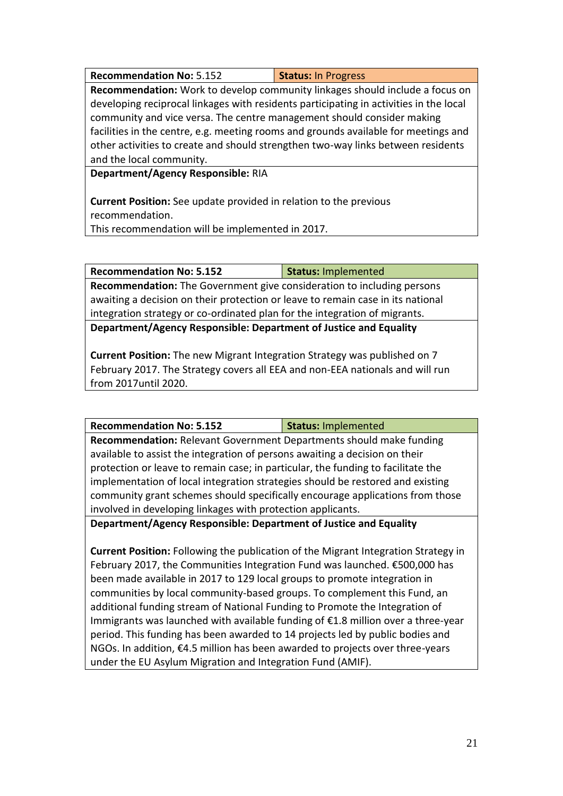**Recommendation No: 5.152 Status: In Progress** 

**Recommendation:** Work to develop community linkages should include a focus on developing reciprocal linkages with residents participating in activities in the local community and vice versa. The centre management should consider making facilities in the centre, e.g. meeting rooms and grounds available for meetings and other activities to create and should strengthen two-way links between residents and the local community.

**Department/Agency Responsible:** RIA

**Current Position:** See update provided in relation to the previous recommendation.

This recommendation will be implemented in 2017.

**Recommendation No: 5.152 Status:** Implemented

**Recommendation:** The Government give consideration to including persons awaiting a decision on their protection or leave to remain case in its national integration strategy or co-ordinated plan for the integration of migrants.

**Department/Agency Responsible: Department of Justice and Equality**

**Current Position:** The new Migrant Integration Strategy was published on 7 February 2017. The Strategy covers all EEA and non-EEA nationals and will run from 2017until 2020.

**Recommendation No: 5.152 Status:** Implemented

**Recommendation:** Relevant Government Departments should make funding available to assist the integration of persons awaiting a decision on their protection or leave to remain case; in particular, the funding to facilitate the implementation of local integration strategies should be restored and existing community grant schemes should specifically encourage applications from those involved in developing linkages with protection applicants.

**Department/Agency Responsible: Department of Justice and Equality**

**Current Position:** Following the publication of the Migrant Integration Strategy in February 2017, the Communities Integration Fund was launched. €500,000 has been made available in 2017 to 129 local groups to promote integration in communities by local community-based groups. To complement this Fund, an additional funding stream of National Funding to Promote the Integration of Immigrants was launched with available funding of €1.8 million over a three-year period. This funding has been awarded to 14 projects led by public bodies and NGOs. In addition, €4.5 million has been awarded to projects over three-years under the EU Asylum Migration and Integration Fund (AMIF).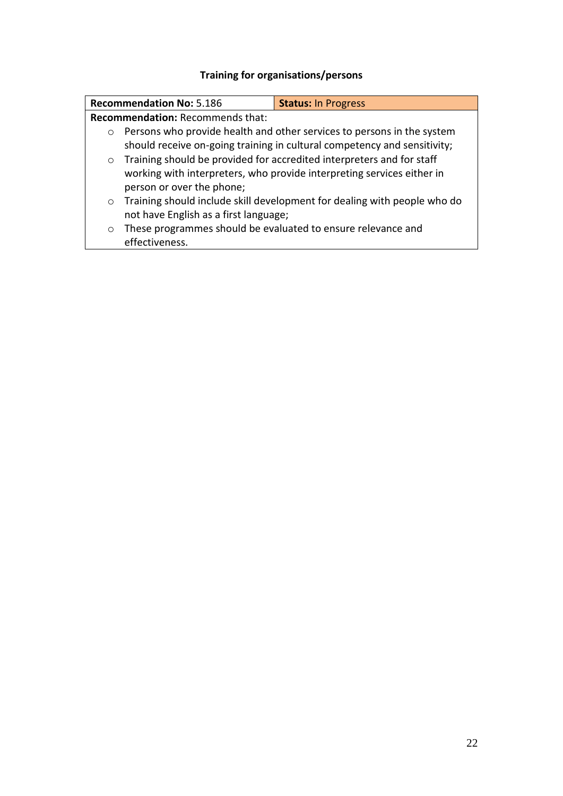# **Training for organisations/persons**

|                                         | <b>Recommendation No: 5.186</b>                                          | <b>Status: In Progress</b>                                               |
|-----------------------------------------|--------------------------------------------------------------------------|--------------------------------------------------------------------------|
| <b>Recommendation: Recommends that:</b> |                                                                          |                                                                          |
| $\circ$                                 |                                                                          | Persons who provide health and other services to persons in the system   |
|                                         | should receive on-going training in cultural competency and sensitivity; |                                                                          |
| $\circ$                                 |                                                                          | Training should be provided for accredited interpreters and for staff    |
|                                         | working with interpreters, who provide interpreting services either in   |                                                                          |
|                                         | person or over the phone;                                                |                                                                          |
| $\circ$                                 |                                                                          | Training should include skill development for dealing with people who do |
|                                         | not have English as a first language;                                    |                                                                          |
| $\circ$                                 | These programmes should be evaluated to ensure relevance and             |                                                                          |
|                                         | effectiveness.                                                           |                                                                          |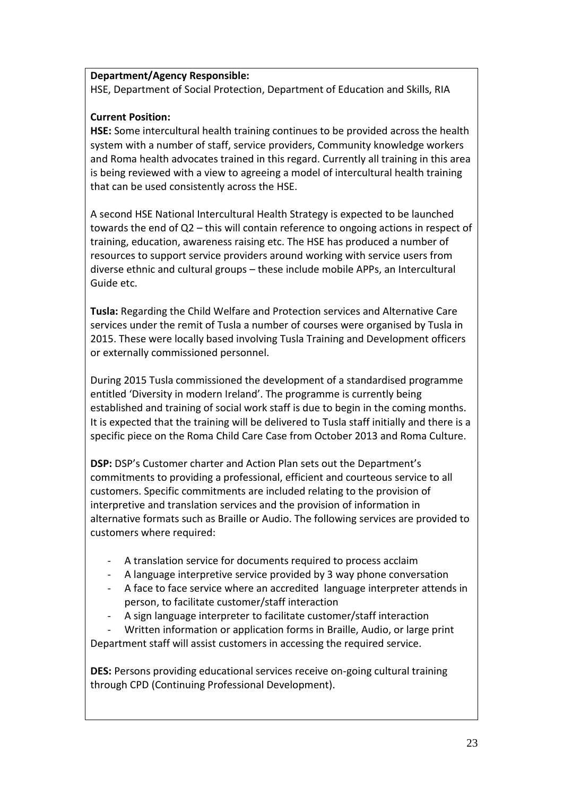#### **Department/Agency Responsible:**

HSE, Department of Social Protection, Department of Education and Skills, RIA

#### **Current Position:**

**HSE:** Some intercultural health training continues to be provided across the health system with a number of staff, service providers, Community knowledge workers and Roma health advocates trained in this regard. Currently all training in this area is being reviewed with a view to agreeing a model of intercultural health training that can be used consistently across the HSE.

A second HSE National Intercultural Health Strategy is expected to be launched towards the end of Q2 – this will contain reference to ongoing actions in respect of training, education, awareness raising etc. The HSE has produced a number of resources to support service providers around working with service users from diverse ethnic and cultural groups – these include mobile APPs, an Intercultural Guide etc.

**Tusla:** Regarding the Child Welfare and Protection services and Alternative Care services under the remit of Tusla a number of courses were organised by Tusla in 2015. These were locally based involving Tusla Training and Development officers or externally commissioned personnel.

During 2015 Tusla commissioned the development of a standardised programme entitled 'Diversity in modern Ireland'. The programme is currently being established and training of social work staff is due to begin in the coming months. It is expected that the training will be delivered to Tusla staff initially and there is a specific piece on the Roma Child Care Case from October 2013 and Roma Culture.

**DSP:** DSP's Customer charter and Action Plan sets out the Department's commitments to providing a professional, efficient and courteous service to all customers. Specific commitments are included relating to the provision of interpretive and translation services and the provision of information in alternative formats such as Braille or Audio. The following services are provided to customers where required:

- A translation service for documents required to process acclaim
- A language interpretive service provided by 3 way phone conversation
- A face to face service where an accredited language interpreter attends in person, to facilitate customer/staff interaction
- A sign language interpreter to facilitate customer/staff interaction

Written information or application forms in Braille, Audio, or large print Department staff will assist customers in accessing the required service.

**DES:** Persons providing educational services receive on-going cultural training through CPD (Continuing Professional Development).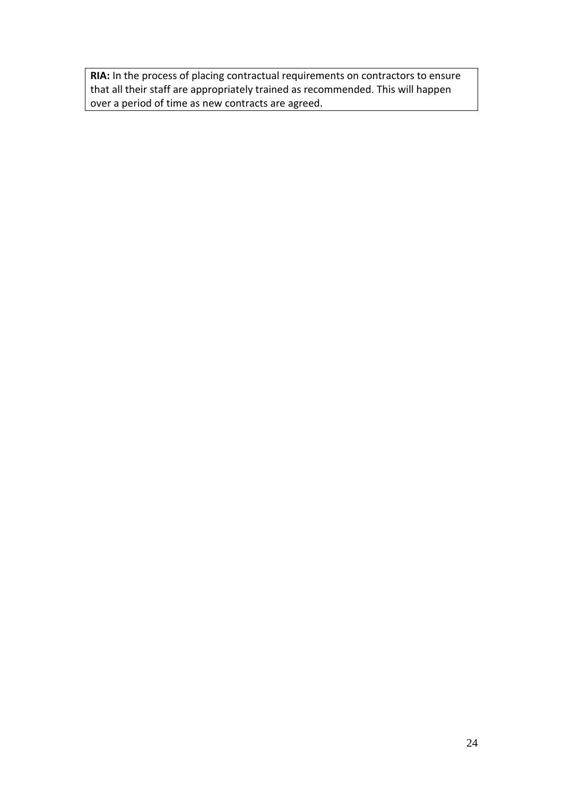**RIA:** In the process of placing contractual requirements on contractors to ensure that all their staff are appropriately trained as recommended. This will happen over a period of time as new contracts are agreed.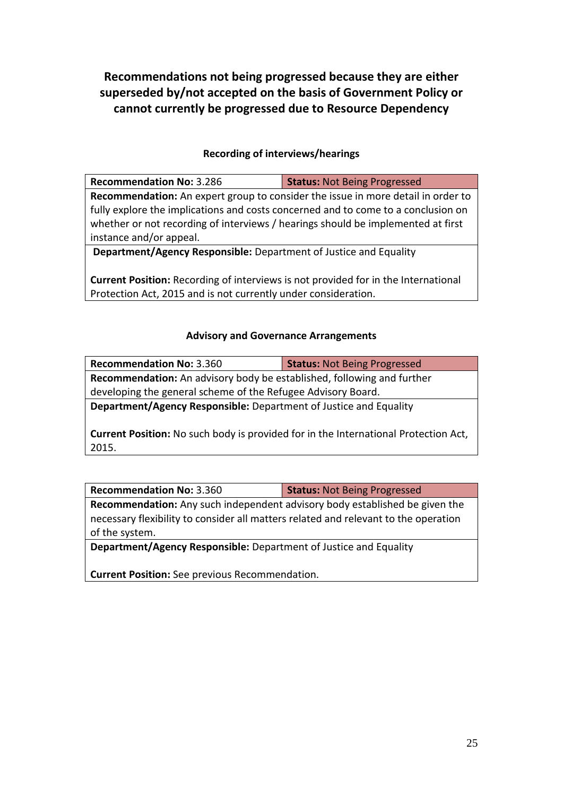**Recommendations not being progressed because they are either superseded by/not accepted on the basis of Government Policy or cannot currently be progressed due to Resource Dependency**

#### **Recording of interviews/hearings**

| <b>Recommendation No: 3.286</b>                                                   | <b>Status: Not Being Progressed</b> |  |
|-----------------------------------------------------------------------------------|-------------------------------------|--|
| Recommendation: An expert group to consider the issue in more detail in order to  |                                     |  |
| fully explore the implications and costs concerned and to come to a conclusion on |                                     |  |
| whether or not recording of interviews / hearings should be implemented at first  |                                     |  |
| instance and/or appeal.                                                           |                                     |  |
|                                                                                   |                                     |  |

**Department/Agency Responsible:** Department of Justice and Equality

**Current Position:** Recording of interviews is not provided for in the International Protection Act, 2015 and is not currently under consideration.

#### **Advisory and Governance Arrangements**

| <b>Recommendation No: 3.360</b>                                                            | <b>Status: Not Being Progressed</b> |
|--------------------------------------------------------------------------------------------|-------------------------------------|
| <b>Recommendation:</b> An advisory body be established, following and further              |                                     |
| developing the general scheme of the Refugee Advisory Board.                               |                                     |
| <b>Department/Agency Responsible:</b> Department of Justice and Equality                   |                                     |
|                                                                                            |                                     |
| <b>Current Position:</b> No such body is provided for in the International Protection Act, |                                     |
| 2015.                                                                                      |                                     |

**Recommendation No:** 3.360 **Status:** Not Being Progressed

**Recommendation:** Any such independent advisory body established be given the necessary flexibility to consider all matters related and relevant to the operation of the system.

**Department/Agency Responsible:** Department of Justice and Equality

**Current Position:** See previous Recommendation.